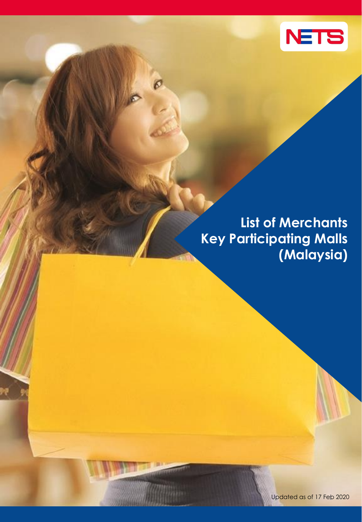

## **List of Merchants Key Participating Malls (Malaysia)**

 $\boldsymbol{\mathcal{O}}$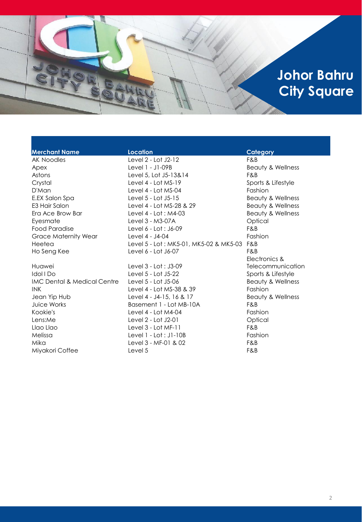## **Johor Bahru City Square**

| <b>Merchant Name</b>                   | <b>Location</b>                         | Category                     |
|----------------------------------------|-----------------------------------------|------------------------------|
| <b>AK Noodles</b>                      | Level 2 - Lot J2-12                     | F&B                          |
| Apex                                   | Level 1 - J1-09B                        | <b>Beauty &amp; Wellness</b> |
| Astons                                 | Level 5, Lot J5-13&14                   | F&B                          |
| Crystal                                | Level $4 -$ Lot MS-19                   | Sports & Lifestyle           |
| D'Man                                  | Level 4 - Lot MS-04                     | Fashion                      |
| E.EX Salon Spa                         | Level 5 - Lot J5-15                     | <b>Beauty &amp; Wellness</b> |
| E3 Hair Salon                          | Level 4 - Lot MS-28 & 29                | Beauty & Wellness            |
| Era Ace Brow Bar                       | Level $4 -$ Lot : M4-03                 | <b>Beauty &amp; Wellness</b> |
| Eyesmate                               | Level 3 - M3-07A                        | Optical                      |
| Food Paradise                          | Level 6 - Lot : J6-09                   | F&B                          |
| <b>Grace Maternity Wear</b>            | Level 4 - J4-04                         | Fashion                      |
| Heetea                                 | Level 5 - Lot : MK5-01, MK5-02 & MK5-03 | F&B                          |
| Ho Seng Kee                            | Level 6 - Lot J6-07                     | F&B                          |
|                                        |                                         | Electronics &                |
| Huawei                                 | Level $3 -$ Lot : J $3-09$              | Telecommunication            |
| Idol I Do                              | Level 5 - Lot J5-22                     | Sports & Lifestyle           |
| <b>IMC Dental &amp; Medical Centre</b> | Level 5 - Lot J5-06                     | <b>Beauty &amp; Wellness</b> |
| <b>INK</b>                             | Level 4 - Lot MS-38 & 39                | Fashion                      |
| Jean Yip Hub                           | Level 4 - J4-15, 16 & 17                | Beauty & Wellness            |
| Juice Works                            | Basement 1 - Lot MB-10A                 | F&B                          |
| Kookie's                               | Level $4 -$ Lot M4-04                   | Fashion                      |
| Lens:Me                                | Level 2 - Lot J2-01                     | Optical                      |
| Llao Llao                              | Level $3 -$ Lot MF-11                   | F&B                          |
| Melissa                                | Level $1 - Lot : J1-10B$                | Fashion                      |
| Mika                                   | Level $3 - MF - 01$ & 02                | F&B                          |
| Miyakori Coffee                        | Level 5                                 | F&B                          |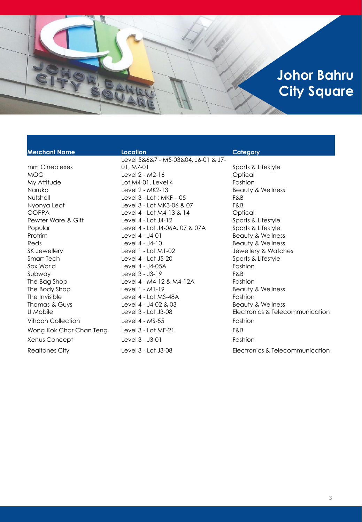## **Johor Bahru City Square**

mm Cineplexes

### **Merchant Name Location Category** Level 5&6&7 - M5-03&04, J6-01 & J7- 01, M7-01 Sports & Lifestyle MOG Level 2 - M2-16 Coptical My Attitude **Lot M4-01, Level 4** Fashion Naruko Level 2 - MK2-13 Beauty & Wellness Nutshell Level 3 - Lot : MKF – 05 F&B Nyonya Leaf Level 3 - Lot MK3-06 & 07 F&B OOPPA Level 4 - Lot M4-13 & 14 Optical Pewter Ware & Gift The Level 4 - Lot J4-12 Sports & Lifestyle Popular Level 4 - Lot J4-06A, 07 & 07A Sports & Lifestyle Protrim Level 4 - J4-01 Beauty & Wellness Reds **Reds Reds Reds Reds Reds Reds Reds Reds Beauty & Wellness** SK Jewellery **Level 1 - Lot M1-02** Jewellery & Watches Smart Tech Level 4 - Lot J5-20 Sports & Lifestyle Sox World Level 4 - J4-05A Fashion Subway Level 3 - J3-19 F&B The Bag Shop Level 4 - M4-12 & M4-12A Fashion The Body Shop **Level 1 - M1-19** Beauty & Wellness The Invisible **Level 4 - Lot MS-48A** Fashion Thomas & Guys Level 4 - J4-02 & 03 Beauty & Wellness Vihoon Collection Level 4 - MS-55 Fashion Wong Kok Char Chan Teng Level 3 - Lot MF-21 F&B Xenus Concept Level 3 - J3-01 Fashion

U Mobile  $\qquad \qquad$  Level 3 - Lot J3-08 Electronics & Telecommunication Realtones City **Level 3 - Lot J3-08** Electronics & Telecommunication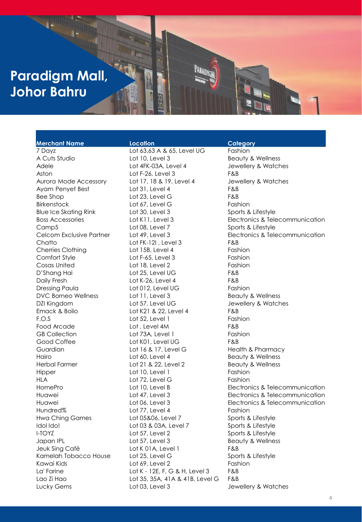## **Paradigm Mall, Johor Bahru**

### **Merchant Name Location Category**

7 Dayz Lot 63,63 A & 65, Level UG Fashion A Cuts Studio **Lot 10, Level 3** Beauty & Wellness Adele **Lot 4FK-03A, Level 4** Jewellery & Watches Aston Lot F-26, Level 3 F&B Aurora Mode Accessory Lot 17, 18 & 19, Level 4 Jewellery & Watches Ayam Penyet Best Lot 31, Level 4 F&B Bee Shop Contract Lot 23, Level G F&B Birkenstock Lot 67, Level G Fashion Blue Ice Skating Rink Lot 30, Level 3 Sports & Lifestyle Camp5 Lot 08, Level 7 Sports & Lifestyle Chatto Lot FK-12I , Level 3 F&B Cherries Clothing Lot 15B, Level 4 Fashion Comfort Style Lot F-65, Level 3 Fashion Cosas United Lot 18, Level 2 Fashion D'Shang Hai Lot 25, Level UG F&B Daily Fresh **Lot K-26, Level 4** F&B Dressing Paula **Lot 012, Level UG** Fashion DVC Borneo Wellness Lot 11, Level 3 Beauty & Wellness DZI Kingdom Lot 57, Level UG Jewellery & Watches Emack & Bolio Lot K21 & 22, Level 4 F&B F.O.S Lot 52, Level 1 Fashion Food Arcade Lot , Level 4M F&B GB Collection Lot 73A, Level 1 Fashion Good Coffee Lot K01, Level UG F&B Guardian Lot 16 & 17, Level G Health & Pharmacy Hairo Lot 60, Level 4 Beauty & Wellness Herbal Farmer Lot 21 & 22, Level 2 Beauty & Wellness Hipper Lot 10, Level 1 Fashion HLA Lot 72, Level G Fashion Hundred% Lot 77, Level 4 Fashion Hwa Ching Games Lot 05&06, Level 7 Sports & Lifestyle Idol Ido! Lot 03 & 03A, Level 7 Sports & Lifestyle I-TOYZ Lot 57, Level 2 Sports & Lifestyle Japan IPL **Lot 57, Level 3** Beauty & Wellness Jeuk Sing Café Lot K 01A, Level 1 F&B Kamelah Tobacco House Lot 25, Level G Sports & Lifestyle Kawai Kids **East Communist Communist Communist Communist Communist Communist Communist Communist Communist Communist Communist Communist Communist Communist Communist Communist Communist Communist Communist Communist Commu** La' Farine **Lot K - 12E, F, G & H, Level 3** F&B Lao Zi Hao Lot 35, 35A, 41A & 41B, Level G F&B Lucky Gems Lot 03, Level 3 Jewellery & Watches

Boss Accessories Lot K11, Level 3 Electronics & Telecommunication Celcom Exclusive Partner Lot 49, Level 3 Electronics & Telecommunication HomePro Lot 10, Level B Electronics & Telecommunication Huawei Lot 47, Level 3 Electronics & Telecommunication Huawei Lot 06, Level 3 Electronics & Telecommunication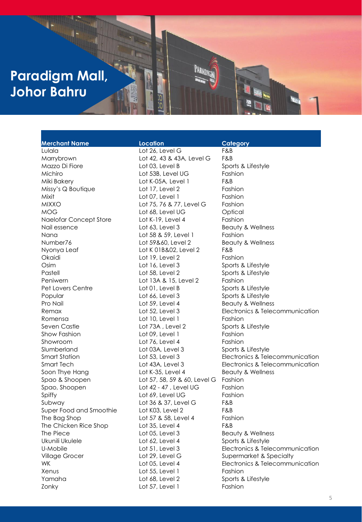## **Paradigm Mall, Johor Bahru**

### **Merchant Name Location Category**

Missy's Q Boutique Lot 17, Level 2 Fashion Naelofar Concept Store Lot K-19, Level 4 Fashion Number76 Lot 59&60, Level 2 Beauty & Wellness Ukunili Ukulele Lot 62, Level 4 Sports & Lifestyle

Lulala Lot 26, Level G F&B Marrybrown Lot 42, 43 & 43A, Level G F&B Mazzo Di Fiore **Lot 03, Level B** Sports & Lifestyle Michiro Lot 53B, Level UG Fashion Miki Bakery **Example 2018** Lot K-05A, Level 1 Mixit Lot 07, Level 1 Fashion MIXXO Lot 75, 76 & 77, Level G Fashion MOG Lot 68, Level UG Optical Nail essence The Lot 63, Level 3 Beauty & Wellness Nana **Nana Lot 58 & 59, Level 1** Fashion Nyonya Leaf Lot K 01B&02, Level 2 F&B Okaidi Lot 19, Level 2 Fashion Osim Lot 16, Level 3 Sports & Lifestyle Pastell **Example 2** Lot 58, Level 2 Sports & Lifestyle Peniwern Lot 13A & 15, Level 2 Fashion Pet Lovers Centre Lot 01, Level B Sports & Lifestyle Popular Contract Lot 66, Level 3 Sports & Lifestyle Pro Nail **Pro Nail Contract Contract Contract Contract Contract Contract Contract Contract Contract Contract Contract Contract Contract Contract Contract Contract Contract Contract Contract Contract Contract Contract Contr** Romensa **Lot 10, Level 1** Fashion Seven Castle **Subset Castle 3 Contract Contract Contract Contract Contract Contract Contract Contract Contract Contract Contract Contract Contract Contract Contract Contract Contract Contract Contract Contract Contract Con** Show Fashion **Show Fashion** Lot 09, Level 1 Fashion Showroom Lot 76, Level 4 Fashion Slumberland Lot 03A, Level 3 Sports & Lifestyle Soon Thye Hang **Lot K-35, Level 4** Beauty & Wellness Spao & Shoopen Lot 57, 58, 59 & 60, Level G Fashion Spao, Shoopen Lot 42 - 47, Level UG Fashion Spiffy **Spiffy Lot 69, Level UG** Fashion Subway Lot 36 & 37, Level G F&B Super Food and Smoothie Lot K03, Level 2 F&B The Bag Shop Lot 57 & 58, Level 4 Fashion The Chicken Rice Shop Lot 35, Level 4 F&B The Piece **Lot 05, Level 3** Beauty & Wellness **COVER** Village Grocer **Lot 29, Level G** Supermarket & Specialty Xenus **Contract Contract Contract Lot 55, Level 1** Fashion Yamaha **Lot 68, Level 2** Sports & Lifestyle Zonky **Lot 57, Level 1** Fashion

# Remax **Remax Electronics & Telecommunication Electronics & Telecommunication** Smart Station Lot 53, Level 3 Electronics & Telecommunication Smart Tech Lot 43A, Level 3 Electronics & Telecommunication U-Mobile **Lot 51, Level 3** Electronics & Telecommunication WK **Electronics & Telecommunication** Lot 05, Level 4 Electronics & Telecommunication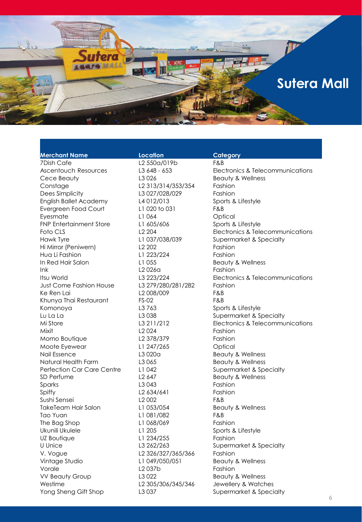

| <b>Merchant Name</b>            | Location               | Category                         |
|---------------------------------|------------------------|----------------------------------|
| <b>7Dish Cafe</b>               | L2 550a/019b           | F&B                              |
| <b>Ascentouch Resources</b>     | L3 648 - 653           | Electronics & Telecommunications |
| Cece Beauty                     | L <sub>3</sub> 026     | <b>Beauty &amp; Wellness</b>     |
| Constage                        | L2 313/314/353/354     | Fashion                          |
| Dees Simplicity                 | L3 027/028/029         | Fashion                          |
| <b>English Ballet Academy</b>   | L4012/013              | Sports & Lifestyle               |
| Evergreen Food Court            | L1 020 to 031          | F&B                              |
| Eyesmate                        | L1 064                 | Optical                          |
| <b>FNP Entertainment Store</b>  | L1 605/606             | Sports & Lifestyle               |
| Foto CLS                        | L <sub>2</sub> 204     | Electronics & Telecommunications |
| Hawk Tyre                       | L1 037/038/039         | Supermarket & Specialty          |
| Hi Mirror (Peniwern)            | L <sub>2</sub> 202     | Fashion                          |
| Hua Li Fashion                  | L1 223/224             | Fashion                          |
| In Red Hair Salon               | L1 055                 | <b>Beauty &amp; Wellness</b>     |
| lnk                             | L2026a                 | Fashion                          |
| Itsu World                      | L3 223/224             | Electronics & Telecommunications |
| Just Come Fashion House         | L3 279/280/281/282     | Fashion                          |
| Ke Ren Lai                      | L2 008/009             | F&B                              |
| Khunya Thai Restaurant          | <b>FS-02</b>           | F&B                              |
| Komonoya                        | L3 763                 | Sports & Lifestyle               |
| Lu La La                        | L3 038                 | Supermarket & Specialty          |
| Mi Store                        | L3 211/212             | Electronics & Telecommunications |
| Mixit                           | L <sub>2</sub> 024     | Fashion                          |
| Momo Boutique                   | L2 378/379             | Fashion                          |
| Moote Eyewear                   | L1 247/265             | Optical                          |
| Nail Essence                    | L3020a                 | Beauty & Wellness                |
| Natural Health Farm             | L3 065                 | <b>Beauty &amp; Wellness</b>     |
| Perfection Car Care Centre      | L1 042                 | Supermarket & Specialty          |
| SD Perfume                      | L <sub>2</sub> 647     | <b>Beauty &amp; Wellness</b>     |
| Sparks                          | L3 043                 | Fashion                          |
| Spiffy                          | L <sub>2</sub> 634/641 | Fashion                          |
| Sushi Sensei                    | L <sub>2</sub> 002     | F&B                              |
| TakeTeam Hair Salon             | L1 053/054             | <b>Beauty &amp; Wellness</b>     |
| Tao Yuan                        |                        | F&B                              |
|                                 | L1 081/082             |                                  |
| The Bag Shop<br>Ukunili Ukulele | L1 068/069             | Fashion                          |
|                                 | L1 205<br>L1 234/255   | Sports & Lifestyle               |
| UZ Boutique                     |                        | Fashion                          |
| U Unice                         | L3 262/263             | Supermarket & Specialty          |
| V. Vogue                        | L2 326/327/365/366     | Fashion                          |
| Vintage Studio                  | L1 049/050/051         | Beauty & Wellness                |
| Vorale                          | L <sub>2</sub> 037b    | Fashion                          |
| <b>VV Beauty Group</b>          | L3 022                 | <b>Beauty &amp; Wellness</b>     |
| Westime                         | L2 305/306/345/346     | Jewellery & Watches              |
| Yong Sheng Gift Shop            | L3 037                 | Supermarket & Specialty          |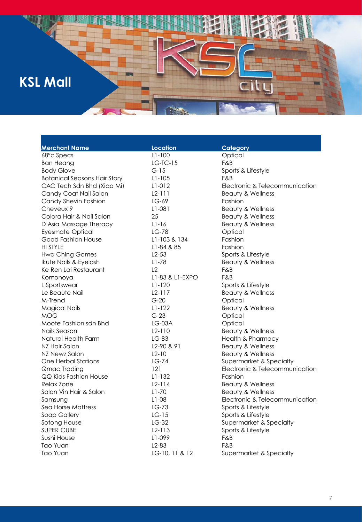## **KSL Mall**

| <b>Merchant Name</b>                | <b>Location</b> | Category                       |
|-------------------------------------|-----------------|--------------------------------|
| 68°c Specs                          | $L1 - 100$      | Optical                        |
| <b>Ban Heang</b>                    | $LG-TC-15$      | F&B                            |
| <b>Body Glove</b>                   | $G-15$          | Sports & Lifestyle             |
| <b>Botanical Seasons Hair Story</b> | $L1 - 105$      | F&B                            |
| CAC Tech Sdn Bhd (Xiao Mi)          | L1-012          | Electronic & Telecommunication |
| Candy Coat Nail Salon               | $L2-111$        | Beauty & Wellness              |
| Candy Shevin Fashion                | $LG-69$         | Fashion                        |
| Cheveux 9                           | L1-081          | <b>Beauty &amp; Wellness</b>   |
| Colora Hair & Nail Salon            | 25              | Beauty & Wellness              |
| D Asia Massage Therapy              | $L1-16$         | Beauty & Wellness              |
| <b>Eyesmate Optical</b>             | $LG-78$         | Optical                        |
| Good Fashion House                  | L1-103 & 134    | Fashion                        |
| <b>HI STYLE</b>                     | L1-84 & 85      | Fashion                        |
| <b>Hwa Ching Games</b>              | $L2-53$         | Sports & Lifestyle             |
| Ikute Nails & Eyelash               | $L1 - 78$       | Beauty & Wellness              |
| Ke Ren Lai Restaurant               | L2              | F&B                            |
| Komonoya                            | L1-83 & L1-EXPO | F&B                            |
| L Sportswear                        | $L1-120$        | Sports & Lifestyle             |
| Le Beaute Nail                      | $L2-117$        | Beauty & Wellness              |
| M-Trend                             | $G-20$          | Optical                        |
| <b>Magical Nails</b>                | $L1-122$        | Beauty & Wellness              |
| <b>MOG</b>                          | $G-23$          | Optical                        |
| Moote Fashion sdn Bhd               | $LG$ -03A       | Optical                        |
| Nails Season                        | $L2-110$        | <b>Beauty &amp; Wellness</b>   |
| Natural Health Farm                 | LG-83           | <b>Health &amp; Pharmacy</b>   |
| NZ Hair Salon                       | L2-90 & 91      | Beauty & Wellness              |
| NZ Newz Salon                       | $L2-10$         | Beauty & Wellness              |
| <b>One Herbal Stations</b>          | $LG-74$         | Supermarket & Specialty        |
| Qmac Trading                        | 121             | Electronic & Telecommunication |
| QQ Kids Fashion House               | $L1-132$        | Fashion                        |
| Relax Zone                          | $L2-114$        | Beauty & Wellness              |
| Salon Vin Hair & Salon              | $L1-70$         | <b>Beauty &amp; Wellness</b>   |
| Samsung                             | $L1-08$         | Electronic & Telecommunication |
| Sea Horse Mattress                  | $LG-73$         | Sports & Lifestyle             |
| Soap Gallery                        | $LG-15$         | Sports & Lifestyle             |
| Sotong House                        | $LG-32$         | Supermarket & Specialty        |
| SUPER CUBE                          | $L2-113$        | Sports & Lifestyle             |
| Sushi House                         | L1-099          | F&B                            |
| Tao Yuan                            | $L2-83$         | F&B                            |
| Tao Yuan                            | LG-10, 11 & 12  | Supermarket & Specialty        |

H

city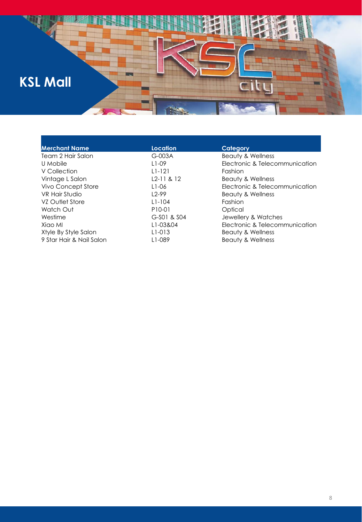

| <b>Merchant Name</b>     | <b>Location</b>     | Category                       |
|--------------------------|---------------------|--------------------------------|
| Team 2 Hair Salon        | $G-003A$            | Beauty & Wellness              |
| U Mobile                 | $11-09$             | Electronic & Telecommunication |
| V Collection             | $L1 - 121$          | Fashion                        |
| Vintage L Salon          | $L2-11 & 8 & 12$    | Beauty & Wellness              |
| Vivo Concept Store       | L <sub>1</sub> -06  | Electronic & Telecommunication |
| VR Hair Studio           | $12-99$             | Beauty & Wellness              |
| VZ Outlet Store          | $L1 - 104$          | Fashion                        |
| Watch Out                | P <sub>10</sub> -01 | Optical                        |
| Westime                  | G-S01 & S04         | Jewellery & Watches            |
| Xiao Ml                  | L1-03&04            | Electronic & Telecommunication |
| Xtyle By Style Salon     | L <sub>1</sub> -013 | Beauty & Wellness              |
| 9 Star Hair & Nail Salon | L1-089              | Beauty & Wellness              |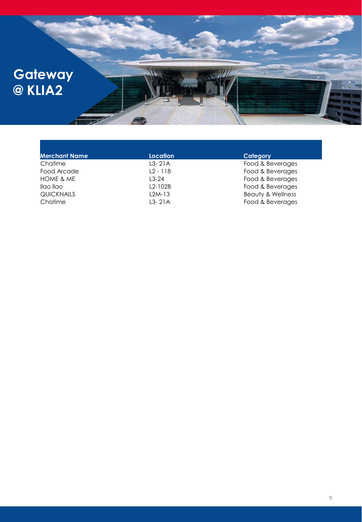

| <b>Merchant Name</b> | Location   | Category                     |
|----------------------|------------|------------------------------|
| Chatime              | $L3-21A$   | Food & Beverages             |
| Food Arcade          | $L2 - 118$ | Food & Beverages             |
| HOME & ME            | $13-24$    | Food & Beverages             |
| llao llao            | $L2-102B$  | Food & Beverages             |
| <b>QUICKNAILS</b>    | $L2M-13$   | <b>Beauty &amp; Wellness</b> |
| Chatime              | $L3-21A$   | Food & Beverages             |